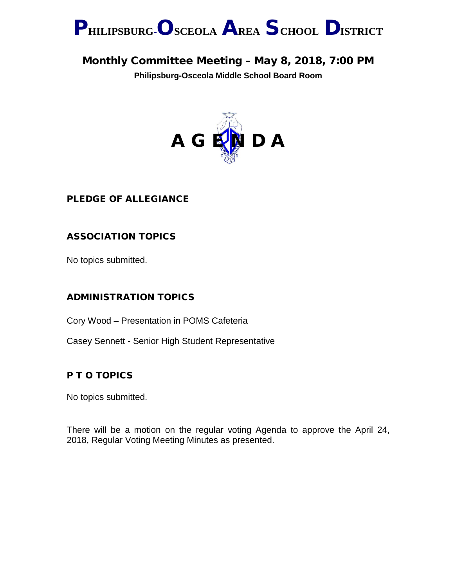

# Monthly Committee Meeting – May 8, 2018, 7:00 PM

**Philipsburg-Osceola Middle School Board Room**



### PLEDGE OF ALLEGIANCE

## ASSOCIATION TOPICS

No topics submitted.

### ADMINISTRATION TOPICS

Cory Wood – Presentation in POMS Cafeteria

Casey Sennett - Senior High Student Representative

### P T O TOPICS

No topics submitted.

There will be a motion on the regular voting Agenda to approve the April 24, 2018, Regular Voting Meeting Minutes as presented.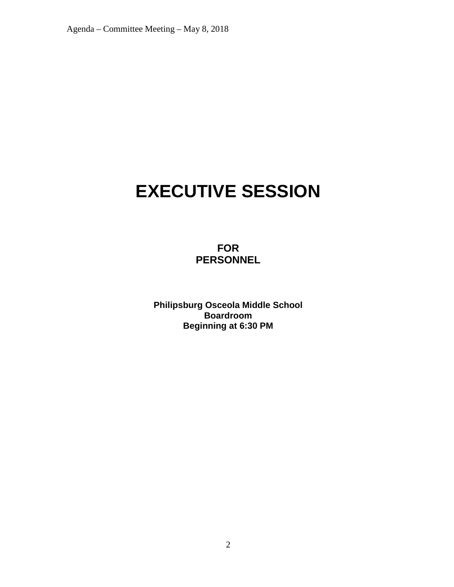# **EXECUTIVE SESSION**

**FOR PERSONNEL**

**Philipsburg Osceola Middle School Boardroom Beginning at 6:30 PM**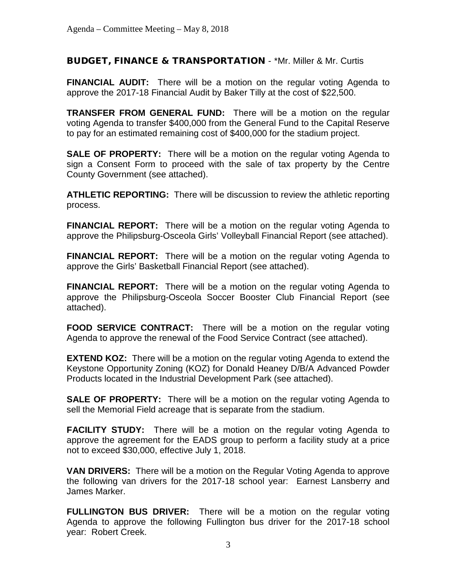#### BUDGET, FINANCE & TRANSPORTATION - \*Mr. Miller & Mr. Curtis

**FINANCIAL AUDIT:** There will be a motion on the regular voting Agenda to approve the 2017-18 Financial Audit by Baker Tilly at the cost of \$22,500.

**TRANSFER FROM GENERAL FUND:** There will be a motion on the regular voting Agenda to transfer \$400,000 from the General Fund to the Capital Reserve to pay for an estimated remaining cost of \$400,000 for the stadium project.

**SALE OF PROPERTY:** There will be a motion on the regular voting Agenda to sign a Consent Form to proceed with the sale of tax property by the Centre County Government (see attached).

**ATHLETIC REPORTING:** There will be discussion to review the athletic reporting process.

**FINANCIAL REPORT:** There will be a motion on the regular voting Agenda to approve the Philipsburg-Osceola Girls' Volleyball Financial Report (see attached).

**FINANCIAL REPORT:** There will be a motion on the regular voting Agenda to approve the Girls' Basketball Financial Report (see attached).

**FINANCIAL REPORT:** There will be a motion on the regular voting Agenda to approve the Philipsburg-Osceola Soccer Booster Club Financial Report (see attached).

**FOOD SERVICE CONTRACT:** There will be a motion on the regular voting Agenda to approve the renewal of the Food Service Contract (see attached).

**EXTEND KOZ:** There will be a motion on the regular voting Agenda to extend the Keystone Opportunity Zoning (KOZ) for Donald Heaney D/B/A Advanced Powder Products located in the Industrial Development Park (see attached).

**SALE OF PROPERTY:** There will be a motion on the regular voting Agenda to sell the Memorial Field acreage that is separate from the stadium.

**FACILITY STUDY:** There will be a motion on the regular voting Agenda to approve the agreement for the EADS group to perform a facility study at a price not to exceed \$30,000, effective July 1, 2018.

**VAN DRIVERS:** There will be a motion on the Regular Voting Agenda to approve the following van drivers for the 2017-18 school year: Earnest Lansberry and James Marker.

**FULLINGTON BUS DRIVER:** There will be a motion on the regular voting Agenda to approve the following Fullington bus driver for the 2017-18 school year: Robert Creek.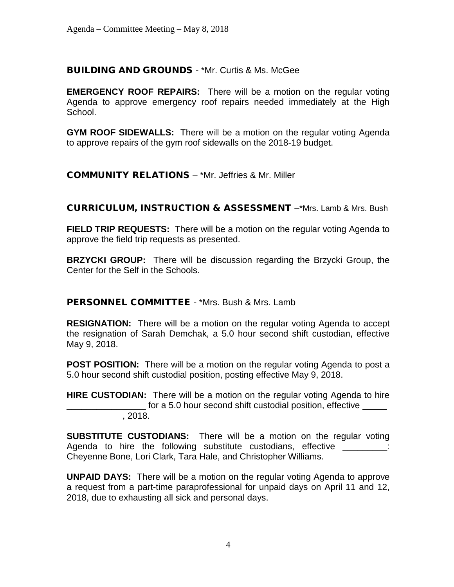#### BUILDING AND GROUNDS - \*Mr. Curtis & Ms. McGee

**EMERGENCY ROOF REPAIRS:** There will be a motion on the regular voting Agenda to approve emergency roof repairs needed immediately at the High School.

**GYM ROOF SIDEWALLS:** There will be a motion on the regular voting Agenda to approve repairs of the gym roof sidewalls on the 2018-19 budget.

COMMUNITY RELATIONS – \*Mr. Jeffries & Mr. Miller

CURRICULUM, INSTRUCTION & ASSESSMENT –\*Mrs. Lamb & Mrs. Bush

**FIELD TRIP REQUESTS:** There will be a motion on the regular voting Agenda to approve the field trip requests as presented.

**BRZYCKI GROUP:** There will be discussion regarding the Brzycki Group, the Center for the Self in the Schools.

PERSONNEL COMMITTEE - \*Mrs. Bush & Mrs. Lamb

**RESIGNATION:** There will be a motion on the regular voting Agenda to accept the resignation of Sarah Demchak, a 5.0 hour second shift custodian, effective May 9, 2018.

**POST POSITION:** There will be a motion on the regular voting Agenda to post a 5.0 hour second shift custodial position, posting effective May 9, 2018.

**HIRE CUSTODIAN:** There will be a motion on the regular voting Agenda to hire for a 5.0 hour second shift custodial position, effective , 2018.

**SUBSTITUTE CUSTODIANS:** There will be a motion on the regular voting Agenda to hire the following substitute custodians, effective **Electional**: Cheyenne Bone, Lori Clark, Tara Hale, and Christopher Williams.

**UNPAID DAYS:** There will be a motion on the regular voting Agenda to approve a request from a part-time paraprofessional for unpaid days on April 11 and 12, 2018, due to exhausting all sick and personal days.